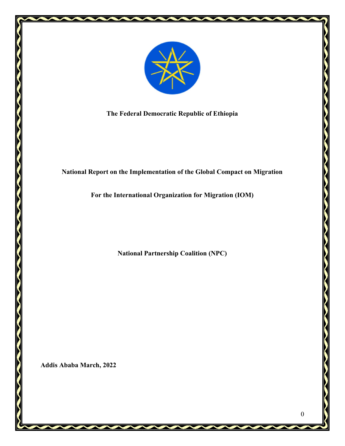

The Federal Democratic Republic of Ethiopia

## National Report on the Implementation of the Global Compact on Migration

For the International Organization for Migration (IOM)

National Partnership Coalition (NPC)

Addis Ababa March, 2022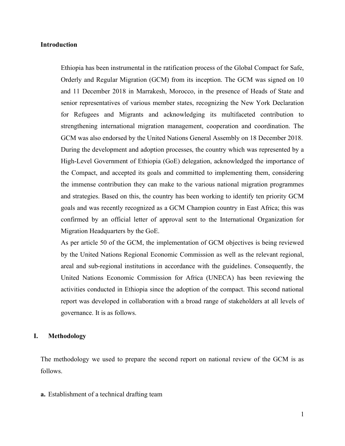## Introduction

Ethiopia has been instrumental in the ratification process of the Global Compact for Safe, Orderly and Regular Migration (GCM) from its inception. The GCM was signed on 10 and 11 December 2018 in Marrakesh, Morocco, in the presence of Heads of State and senior representatives of various member states, recognizing the New York Declaration for Refugees and Migrants and acknowledging its multifaceted contribution to strengthening international migration management, cooperation and coordination. The GCM was also endorsed by the United Nations General Assembly on 18 December 2018. During the development and adoption processes, the country which was represented by a High-Level Government of Ethiopia (GoE) delegation, acknowledged the importance of the Compact, and accepted its goals and committed to implementing them, considering the immense contribution they can make to the various national migration programmes and strategies. Based on this, the country has been working to identify ten priority GCM goals and was recently recognized as a GCM Champion country in East Africa; this was confirmed by an official letter of approval sent to the International Organization for Migration Headquarters by the GoE.

As per article 50 of the GCM, the implementation of GCM objectives is being reviewed by the United Nations Regional Economic Commission as well as the relevant regional, areal and sub-regional institutions in accordance with the guidelines. Consequently, the United Nations Economic Commission for Africa (UNECA) has been reviewing the activities conducted in Ethiopia since the adoption of the compact. This second national report was developed in collaboration with a broad range of stakeholders at all levels of governance. It is as follows.

## I. Methodology

The methodology we used to prepare the second report on national review of the GCM is as follows.

a. Establishment of a technical drafting team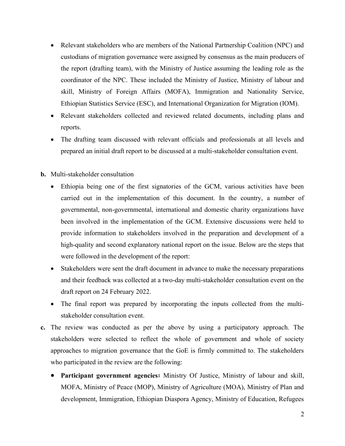- Relevant stakeholders who are members of the National Partnership Coalition (NPC) and custodians of migration governance were assigned by consensus as the main producers of the report (drafting team), with the Ministry of Justice assuming the leading role as the coordinator of the NPC. These included the Ministry of Justice, Ministry of labour and skill, Ministry of Foreign Affairs (MOFA), Immigration and Nationality Service, Ethiopian Statistics Service (ESC), and International Organization for Migration (IOM).
- Relevant stakeholders collected and reviewed related documents, including plans and reports.
- The drafting team discussed with relevant officials and professionals at all levels and prepared an initial draft report to be discussed at a multi-stakeholder consultation event.
- b. Multi-stakeholder consultation
	- Ethiopia being one of the first signatories of the GCM, various activities have been carried out in the implementation of this document. In the country, a number of governmental, non-governmental, international and domestic charity organizations have been involved in the implementation of the GCM. Extensive discussions were held to provide information to stakeholders involved in the preparation and development of a high-quality and second explanatory national report on the issue. Below are the steps that were followed in the development of the report:
	- Stakeholders were sent the draft document in advance to make the necessary preparations and their feedback was collected at a two-day multi-stakeholder consultation event on the draft report on 24 February 2022.
	- The final report was prepared by incorporating the inputs collected from the multistakeholder consultation event.
- c. The review was conducted as per the above by using a participatory approach. The stakeholders were selected to reflect the whole of government and whole of society approaches to migration governance that the GoE is firmly committed to. The stakeholders who participated in the review are the following:
	- Participant government agencies: Ministry Of Justice, Ministry of labour and skill, MOFA, Ministry of Peace (MOP), Ministry of Agriculture (MOA), Ministry of Plan and development, Immigration, Ethiopian Diaspora Agency, Ministry of Education, Refugees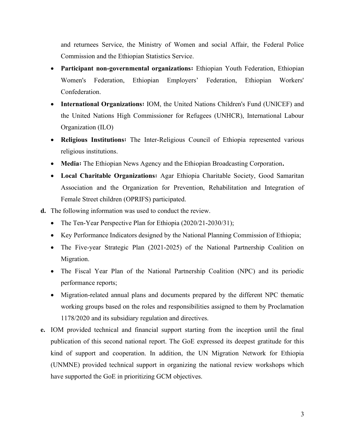and returnees Service, the Ministry of Women and social Affair, the Federal Police Commission and the Ethiopian Statistics Service.

- Participant non-governmental organizations: Ethiopian Youth Federation, Ethiopian Women's Federation, Ethiopian Employers' Federation, Ethiopian Workers' Confederation.
- International Organizations: IOM, the United Nations Children's Fund (UNICEF) and the United Nations High Commissioner for Refugees (UNHCR), International Labour Organization (ILO)
- Religious Institutions፡ The Inter-Religious Council of Ethiopia represented various religious institutions.
- Media፡ The Ethiopian News Agency and the Ethiopian Broadcasting Corporation.
- Local Charitable Organizations፡ Agar Ethiopia Charitable Society, Good Samaritan Association and the Organization for Prevention, Rehabilitation and Integration of Female Street children (OPRIFS) participated.
- d. The following information was used to conduct the review.
	- The Ten-Year Perspective Plan for Ethiopia (2020/21-2030/31);
	- Key Performance Indicators designed by the National Planning Commission of Ethiopia;
	- The Five-year Strategic Plan (2021-2025) of the National Partnership Coalition on Migration.
	- The Fiscal Year Plan of the National Partnership Coalition (NPC) and its periodic performance reports;
	- Migration-related annual plans and documents prepared by the different NPC thematic working groups based on the roles and responsibilities assigned to them by Proclamation 1178/2020 and its subsidiary regulation and directives.
- e. IOM provided technical and financial support starting from the inception until the final publication of this second national report. The GoE expressed its deepest gratitude for this kind of support and cooperation. In addition, the UN Migration Network for Ethiopia (UNMNE) provided technical support in organizing the national review workshops which have supported the GoE in prioritizing GCM objectives.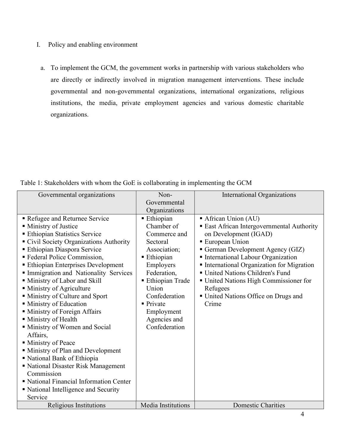- I. Policy and enabling environment
	- a. To implement the GCM, the government works in partnership with various stakeholders who are directly or indirectly involved in migration management interventions. These include governmental and non-governmental organizations, international organizations, religious institutions, the media, private employment agencies and various domestic charitable organizations.

| Table 1: Stakeholders with whom the GoE is collaborating in implementing the GCM |  |  |  |
|----------------------------------------------------------------------------------|--|--|--|

| Governmental organizations               | Non-                   | <b>International Organizations</b>              |
|------------------------------------------|------------------------|-------------------------------------------------|
|                                          | Governmental           |                                                 |
|                                          | Organizations          |                                                 |
| Refugee and Returnee Service             | Ethiopian              | African Union (AU)                              |
| • Ministry of Justice                    | Chamber of             | <b>East African Intergovernmental Authority</b> |
| <b>Ethiopian Statistics Service</b>      | Commerce and           | on Development (IGAD)                           |
| Civil Society Organizations Authority    | Sectoral               | <b>European Union</b>                           |
| <b>Ethiopian Diaspora Service</b>        | Association;           | German Development Agency (GIZ)                 |
| <b>Federal Police Commission,</b>        | Ethiopian              | International Labour Organization               |
| <b>Ethiopian Enterprises Development</b> | Employers              | International Organization for Migration        |
| Immigration and Nationality Services     | Federation,            | United Nations Children's Fund                  |
| Ministry of Labor and Skill              | Ethiopian Trade        | ■ United Nations High Commissioner for          |
| · Ministry of Agriculture                | Union                  | Refugees                                        |
| Ministry of Culture and Sport            | Confederation          | ■ United Nations Office on Drugs and            |
| • Ministry of Education                  | $\blacksquare$ Private | Crime                                           |
| • Ministry of Foreign Affairs            | Employment             |                                                 |
| • Ministry of Health                     | Agencies and           |                                                 |
| Ministry of Women and Social             | Confederation          |                                                 |
| Affairs,                                 |                        |                                                 |
| • Ministry of Peace                      |                        |                                                 |
| • Ministry of Plan and Development       |                        |                                                 |
| National Bank of Ethiopia                |                        |                                                 |
| • National Disaster Risk Management      |                        |                                                 |
| Commission                               |                        |                                                 |
| National Financial Information Center    |                        |                                                 |
| • National Intelligence and Security     |                        |                                                 |
| Service                                  |                        |                                                 |
| Religious Institutions                   | Media Institutions     | <b>Domestic Charities</b>                       |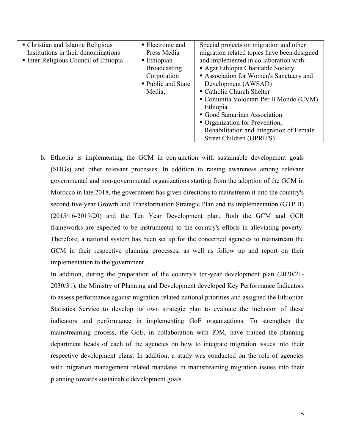| • Christian and Islamic Religious     | $\blacksquare$ Electronic and | Special projects on migration and other     |  |  |
|---------------------------------------|-------------------------------|---------------------------------------------|--|--|
| Institutions in their denominations   | Press Media                   | migration related topics have been designed |  |  |
| • Inter-Religious Council of Ethiopia | ■ Ethiopian                   | and implemented in collaboration with:      |  |  |
|                                       | <b>Broadcasting</b>           | Agar Ethiopia Charitable Society            |  |  |
|                                       | Corporation                   | Association for Women's Sanctuary and       |  |  |
|                                       | • Public and State            | Development (AWSAD)                         |  |  |
|                                       | Media,                        | • Catholic Church Shelter                   |  |  |
|                                       |                               | Comunita Volontari Per Il Mondo (CVM)       |  |  |
|                                       |                               | Ethiopia                                    |  |  |
|                                       |                               | Good Samaritan Association                  |  |  |
|                                       |                               | • Organization for Prevention,              |  |  |
|                                       |                               | Rehabilitation and Integration of Female    |  |  |
|                                       |                               | Street Children (OPRIFS)                    |  |  |

b. Ethiopia is implementing the GCM in conjunction with sustainable development goals (SDGs) and other relevant processes. In addition to raising awareness among relevant governmental and non-governmental organizations starting from the adoption of the GCM in Morocco in late 2018, the government has given directions to mainstream it into the country's second five-year Growth and Transformation Strategic Plan and its implementation (GTP II) (2015/16-2019/20) and the Ten Year Development plan. Both the GCM and GCR frameworks are expected to be instrumental to the country's efforts in alleviating poverty. Therefore, a national system has been set up for the concerned agencies to mainstream the GCM in their respective planning processes, as well as follow up and report on their implementation to the government.

In addition, during the preparation of the country's ten-year development plan (2020/21- 2030/31), the Ministry of Planning and Development developed Key Performance Indicators to assess performance against migration-related national priorities and assigned the Ethiopian Statistics Service to develop its own strategic plan to evaluate the inclusion of these indicators and performance in implementing GoE organizations. To strengthen the mainstreaming process, the GoE, in collaboration with IOM, have trained the planning department heads of each of the agencies on how to integrate migration issues into their respective development plans. In addition, a study was conducted on the role of agencies with migration management related mandates in mainstreaming migration issues into their planning towards sustainable development goals.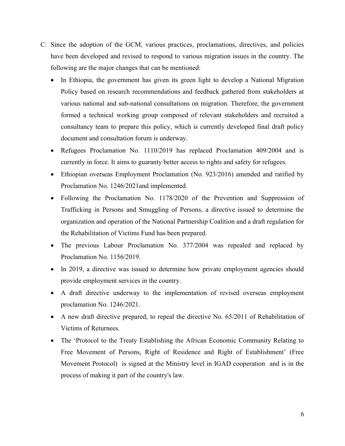- C. Since the adoption of the GCM, various practices, proclamations, directives, and policies have been developed and revised to respond to various migration issues in the country. The following are the major changes that can be mentioned:
	- In Ethiopia, the government has given its green light to develop a National Migration Policy based on research recommendations and feedback gathered from stakeholders at various national and sub-national consultations on migration. Therefore, the government formed a technical working group composed of relevant stakeholders and recruited a consultancy team to prepare this policy, which is currently developed final draft policy document and consultation forum is underway.
	- Refugees Proclamation No. 1110/2019 has replaced Proclamation 409/2004 and is currently in force. It aims to guaranty better access to rights and safety for refugees.
	- Ethiopian overseas Employment Proclamation (No. 923/2016) amended and ratified by Proclamation No. 1246/2021and implemented.
	- Following the Proclamation No. 1178/2020 of the Prevention and Suppression of Trafficking in Persons and Smuggling of Persons, a directive issued to determine the organization and operation of the National Partnership Coalition and a draft regulation for the Rehabilitation of Victims Fund has been prepared.
	- The previous Labour Proclamation No. 377/2004 was repealed and replaced by Proclamation No. 1156/2019.
	- In 2019, a directive was issued to determine how private employment agencies should provide employment services in the country.
	- A draft directive underway to the implementation of revised overseas employment proclamation No. 1246/2021.
	- A new draft directive prepared, to repeal the directive No. 65/2011 of Rehabilitation of Victims of Returnees.
	- The 'Protocol to the Treaty Establishing the African Economic Community Relating to Free Movement of Persons, Right of Residence and Right of Establishment' (Free Movement Protocol) is signed at the Ministry level in IGAD cooperation and is in the process of making it part of the country's law.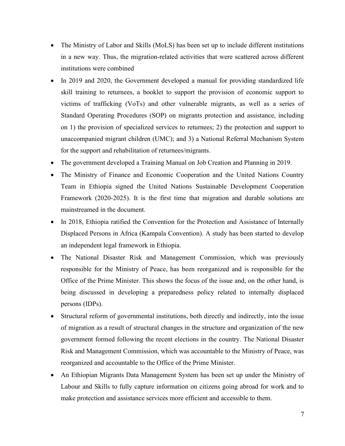- The Ministry of Labor and Skills (MoLS) has been set up to include different institutions in a new way. Thus, the migration-related activities that were scattered across different institutions were combined
- In 2019 and 2020, the Government developed a manual for providing standardized life skill training to returnees, a booklet to support the provision of economic support to victims of trafficking (VoTs) and other vulnerable migrants, as well as a series of Standard Operating Procedures (SOP) on migrants protection and assistance, including on 1) the provision of specialized services to returnees; 2) the protection and support to unaccompanied migrant children (UMC); and 3) a National Referral Mechanism System for the support and rehabilitation of returnees/migrants.
- The government developed a Training Manual on Job Creation and Planning in 2019.
- The Ministry of Finance and Economic Cooperation and the United Nations Country Team in Ethiopia signed the United Nations Sustainable Development Cooperation Framework (2020-2025). It is the first time that migration and durable solutions are mainstreamed in the document.
- In 2018, Ethiopia ratified the Convention for the Protection and Assistance of Internally Displaced Persons in Africa (Kampala Convention). A study has been started to develop an independent legal framework in Ethiopia.
- The National Disaster Risk and Management Commission, which was previously responsible for the Ministry of Peace, has been reorganized and is responsible for the Office of the Prime Minister. This shows the focus of the issue and, on the other hand, is being discussed in developing a preparedness policy related to internally displaced persons (IDPs).
- Structural reform of governmental institutions, both directly and indirectly, into the issue of migration as a result of structural changes in the structure and organization of the new government formed following the recent elections in the country. The National Disaster Risk and Management Commission, which was accountable to the Ministry of Peace, was reorganized and accountable to the Office of the Prime Minister.
- An Ethiopian Migrants Data Management System has been set up under the Ministry of Labour and Skills to fully capture information on citizens going abroad for work and to make protection and assistance services more efficient and accessible to them.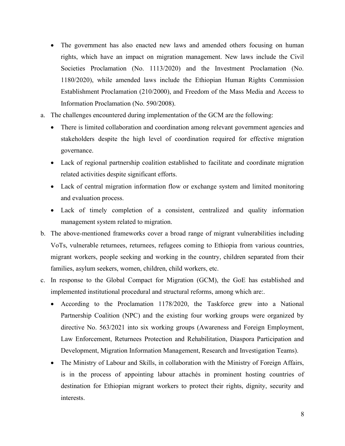- The government has also enacted new laws and amended others focusing on human rights, which have an impact on migration management. New laws include the Civil Societies Proclamation (No. 1113/2020) and the Investment Proclamation (No. 1180/2020), while amended laws include the Ethiopian Human Rights Commission Establishment Proclamation (210/2000), and Freedom of the Mass Media and Access to Information Proclamation (No. 590/2008).
- a. The challenges encountered during implementation of the GCM are the following:
	- There is limited collaboration and coordination among relevant government agencies and stakeholders despite the high level of coordination required for effective migration governance.
	- Lack of regional partnership coalition established to facilitate and coordinate migration related activities despite significant efforts.
	- Lack of central migration information flow or exchange system and limited monitoring and evaluation process.
	- Lack of timely completion of a consistent, centralized and quality information management system related to migration.
- b. The above-mentioned frameworks cover a broad range of migrant vulnerabilities including VoTs, vulnerable returnees, returnees, refugees coming to Ethiopia from various countries, migrant workers, people seeking and working in the country, children separated from their families, asylum seekers, women, children, child workers, etc.
- c. In response to the Global Compact for Migration (GCM), the GoE has established and implemented institutional procedural and structural reforms, among which are:.
	- According to the Proclamation 1178/2020, the Taskforce grew into a National Partnership Coalition (NPC) and the existing four working groups were organized by directive No. 563/2021 into six working groups (Awareness and Foreign Employment, Law Enforcement, Returnees Protection and Rehabilitation, Diaspora Participation and Development, Migration Information Management, Research and Investigation Teams).
	- The Ministry of Labour and Skills, in collaboration with the Ministry of Foreign Affairs, is in the process of appointing labour attachés in prominent hosting countries of destination for Ethiopian migrant workers to protect their rights, dignity, security and interests.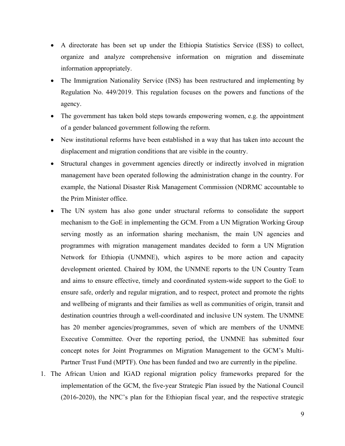- A directorate has been set up under the Ethiopia Statistics Service (ESS) to collect, organize and analyze comprehensive information on migration and disseminate information appropriately.
- The Immigration Nationality Service (INS) has been restructured and implementing by Regulation No. 449/2019. This regulation focuses on the powers and functions of the agency.
- The government has taken bold steps towards empowering women, e.g. the appointment of a gender balanced government following the reform.
- New institutional reforms have been established in a way that has taken into account the displacement and migration conditions that are visible in the country.
- Structural changes in government agencies directly or indirectly involved in migration management have been operated following the administration change in the country. For example, the National Disaster Risk Management Commission (NDRMC accountable to the Prim Minister office.
- The UN system has also gone under structural reforms to consolidate the support mechanism to the GoE in implementing the GCM. From a UN Migration Working Group serving mostly as an information sharing mechanism, the main UN agencies and programmes with migration management mandates decided to form a UN Migration Network for Ethiopia (UNMNE), which aspires to be more action and capacity development oriented. Chaired by IOM, the UNMNE reports to the UN Country Team and aims to ensure effective, timely and coordinated system-wide support to the GoE to ensure safe, orderly and regular migration, and to respect, protect and promote the rights and wellbeing of migrants and their families as well as communities of origin, transit and destination countries through a well-coordinated and inclusive UN system. The UNMNE has 20 member agencies/programmes, seven of which are members of the UNMNE Executive Committee. Over the reporting period, the UNMNE has submitted four concept notes for Joint Programmes on Migration Management to the GCM's Multi-Partner Trust Fund (MPTF). One has been funded and two are currently in the pipeline.
- 1. The African Union and IGAD regional migration policy frameworks prepared for the implementation of the GCM, the five-year Strategic Plan issued by the National Council (2016-2020), the NPC's plan for the Ethiopian fiscal year, and the respective strategic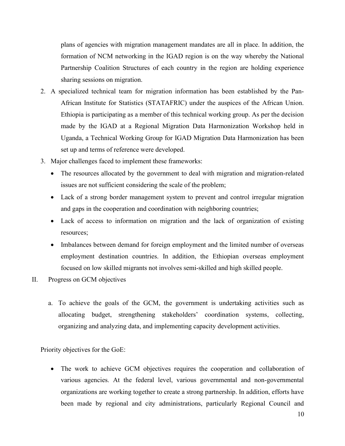plans of agencies with migration management mandates are all in place. In addition, the formation of NCM networking in the IGAD region is on the way whereby the National Partnership Coalition Structures of each country in the region are holding experience sharing sessions on migration.

- 2. A specialized technical team for migration information has been established by the Pan-African Institute for Statistics (STATAFRIC) under the auspices of the African Union. Ethiopia is participating as a member of this technical working group. As per the decision made by the IGAD at a Regional Migration Data Harmonization Workshop held in Uganda, a Technical Working Group for IGAD Migration Data Harmonization has been set up and terms of reference were developed.
- 3. Major challenges faced to implement these frameworks:
	- The resources allocated by the government to deal with migration and migration-related issues are not sufficient considering the scale of the problem;
	- Lack of a strong border management system to prevent and control irregular migration and gaps in the cooperation and coordination with neighboring countries;
	- Lack of access to information on migration and the lack of organization of existing resources;
	- Imbalances between demand for foreign employment and the limited number of overseas employment destination countries. In addition, the Ethiopian overseas employment focused on low skilled migrants not involves semi-skilled and high skilled people.
- II. Progress on GCM objectives
	- a. To achieve the goals of the GCM, the government is undertaking activities such as allocating budget, strengthening stakeholders' coordination systems, collecting, organizing and analyzing data, and implementing capacity development activities.

Priority objectives for the GoE:

 The work to achieve GCM objectives requires the cooperation and collaboration of various agencies. At the federal level, various governmental and non-governmental organizations are working together to create a strong partnership. In addition, efforts have been made by regional and city administrations, particularly Regional Council and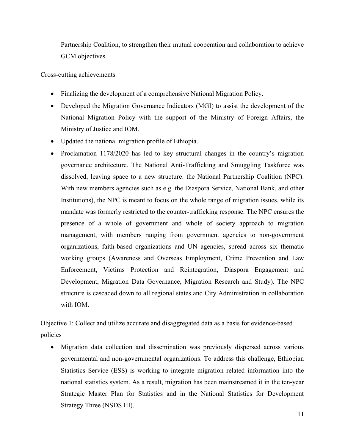Partnership Coalition, to strengthen their mutual cooperation and collaboration to achieve GCM objectives.

Cross-cutting achievements

- Finalizing the development of a comprehensive National Migration Policy.
- Developed the Migration Governance Indicators (MGI) to assist the development of the National Migration Policy with the support of the Ministry of Foreign Affairs, the Ministry of Justice and IOM.
- Updated the national migration profile of Ethiopia.
- Proclamation 1178/2020 has led to key structural changes in the country's migration governance architecture. The National Anti-Trafficking and Smuggling Taskforce was dissolved, leaving space to a new structure: the National Partnership Coalition (NPC). With new members agencies such as e.g. the Diaspora Service, National Bank, and other Institutions), the NPC is meant to focus on the whole range of migration issues, while its mandate was formerly restricted to the counter-trafficking response. The NPC ensures the presence of a whole of government and whole of society approach to migration management, with members ranging from government agencies to non-government organizations, faith-based organizations and UN agencies, spread across six thematic working groups (Awareness and Overseas Employment, Crime Prevention and Law Enforcement, Victims Protection and Reintegration, Diaspora Engagement and Development, Migration Data Governance, Migration Research and Study). The NPC structure is cascaded down to all regional states and City Administration in collaboration with IOM.

Objective 1: Collect and utilize accurate and disaggregated data as a basis for evidence-based policies

 Migration data collection and dissemination was previously dispersed across various governmental and non-governmental organizations. To address this challenge, Ethiopian Statistics Service (ESS) is working to integrate migration related information into the national statistics system. As a result, migration has been mainstreamed it in the ten-year Strategic Master Plan for Statistics and in the National Statistics for Development Strategy Three (NSDS III).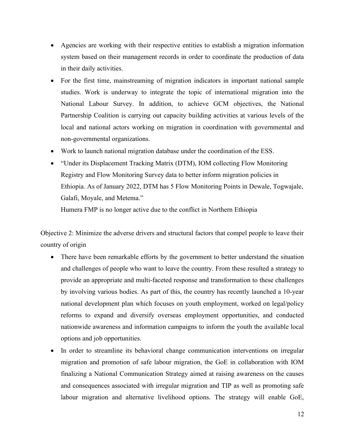- Agencies are working with their respective entities to establish a migration information system based on their management records in order to coordinate the production of data in their daily activities.
- For the first time, mainstreaming of migration indicators in important national sample studies. Work is underway to integrate the topic of international migration into the National Labour Survey. In addition, to achieve GCM objectives, the National Partnership Coalition is carrying out capacity building activities at various levels of the local and national actors working on migration in coordination with governmental and non-governmental organizations.
- Work to launch national migration database under the coordination of the ESS.
- "Under its Displacement Tracking Matrix (DTM), IOM collecting Flow Monitoring Registry and Flow Monitoring Survey data to better inform migration policies in Ethiopia. As of January 2022, DTM has 5 Flow Monitoring Points in Dewale, Togwajale, Galafi, Moyale, and Metema."

Humera FMP is no longer active due to the conflict in Northern Ethiopia

Objective 2: Minimize the adverse drivers and structural factors that compel people to leave their country of origin

- There have been remarkable efforts by the government to better understand the situation and challenges of people who want to leave the country. From these resulted a strategy to provide an appropriate and multi-faceted response and transformation to these challenges by involving various bodies. As part of this, the country has recently launched a 10-year national development plan which focuses on youth employment, worked on legal/policy reforms to expand and diversify overseas employment opportunities, and conducted nationwide awareness and information campaigns to inform the youth the available local options and job opportunities.
- In order to streamline its behavioral change communication interventions on irregular migration and promotion of safe labour migration, the GoE in collaboration with IOM finalizing a National Communication Strategy aimed at raising awareness on the causes and consequences associated with irregular migration and TIP as well as promoting safe labour migration and alternative livelihood options. The strategy will enable GoE,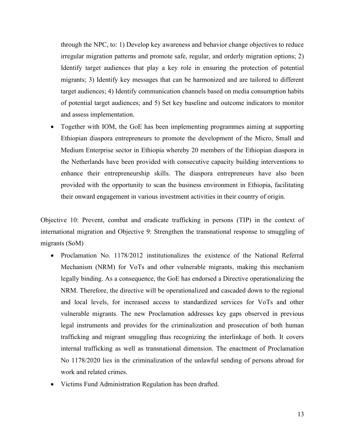through the NPC, to: 1) Develop key awareness and behavior change objectives to reduce irregular migration patterns and promote safe, regular, and orderly migration options; 2) Identify target audiences that play a key role in ensuring the protection of potential migrants; 3) Identify key messages that can be harmonized and are tailored to different target audiences; 4) Identify communication channels based on media consumption habits of potential target audiences; and 5) Set key baseline and outcome indicators to monitor and assess implementation.

 Together with IOM, the GoE has been implementing programmes aiming at supporting Ethiopian diaspora entrepreneurs to promote the development of the Micro, Small and Medium Enterprise sector in Ethiopia whereby 20 members of the Ethiopian diaspora in the Netherlands have been provided with consecutive capacity building interventions to enhance their entrepreneurship skills. The diaspora entrepreneurs have also been provided with the opportunity to scan the business environment in Ethiopia, facilitating their onward engagement in various investment activities in their country of origin.

Objective 10: Prevent, combat and eradicate trafficking in persons (TIP) in the context of international migration and Objective 9: Strengthen the transnational response to smuggling of migrants (SoM)

- Proclamation No. 1178/2012 institutionalizes the existence of the National Referral Mechanism (NRM) for VoTs and other vulnerable migrants, making this mechanism legally binding. As a consequence, the GoE has endorsed a Directive operationalizing the NRM. Therefore, the directive will be operationalized and cascaded down to the regional and local levels, for increased access to standardized services for VoTs and other vulnerable migrants. The new Proclamation addresses key gaps observed in previous legal instruments and provides for the criminalization and prosecution of both human trafficking and migrant smuggling thus recognizing the interlinkage of both. It covers internal trafficking as well as transnational dimension. The enactment of Proclamation No 1178/2020 lies in the criminalization of the unlawful sending of persons abroad for work and related crimes.
- Victims Fund Administration Regulation has been drafted.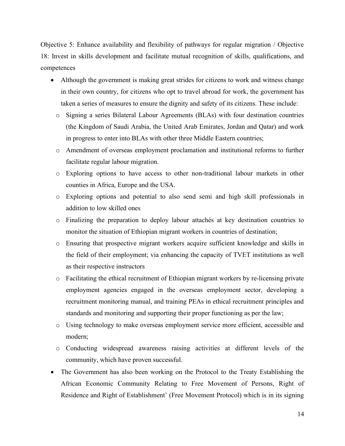Objective 5: Enhance availability and flexibility of pathways for regular migration / Objective 18: Invest in skills development and facilitate mutual recognition of skills, qualifications, and competences

- Although the government is making great strides for citizens to work and witness change in their own country, for citizens who opt to travel abroad for work, the government has taken a series of measures to ensure the dignity and safety of its citizens. These include:
	- o Signing a series Bilateral Labour Agreements (BLAs) with four destination countries (the Kingdom of Saudi Arabia, the United Arab Emirates, Jordan and Qatar) and work in progress to enter into BLAs with other three Middle Eastern countries;
	- o Amendment of overseas employment proclamation and institutional reforms to further facilitate regular labour migration.
	- o Exploring options to have access to other non-traditional labour markets in other counties in Africa, Europe and the USA.
	- o Exploring options and potential to also send semi and high skill professionals in addition to low skilled ones
	- o Finalizing the preparation to deploy labour attachés at key destination countries to monitor the situation of Ethiopian migrant workers in countries of destination;
	- o Ensuring that prospective migrant workers acquire sufficient knowledge and skills in the field of their employment; via enhancing the capacity of TVET institutions as well as their respective instructors
	- o Facilitating the ethical recruitment of Ethiopian migrant workers by re-licensing private employment agencies engaged in the overseas employment sector, developing a recruitment monitoring manual, and training PEAs in ethical recruitment principles and standards and monitoring and supporting their proper functioning as per the law;
	- o Using technology to make overseas employment service more efficient, accessible and modern;
	- o Conducting widespread awareness raising activities at different levels of the community, which have proven successful.
- The Government has also been working on the Protocol to the Treaty Establishing the African Economic Community Relating to Free Movement of Persons, Right of Residence and Right of Establishment' (Free Movement Protocol) which is in its signing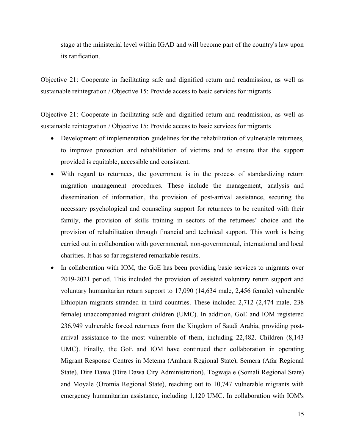stage at the ministerial level within IGAD and will become part of the country's law upon its ratification.

Objective 21: Cooperate in facilitating safe and dignified return and readmission, as well as sustainable reintegration / Objective 15: Provide access to basic services for migrants

Objective 21: Cooperate in facilitating safe and dignified return and readmission, as well as sustainable reintegration / Objective 15: Provide access to basic services for migrants

- Development of implementation guidelines for the rehabilitation of vulnerable returnees, to improve protection and rehabilitation of victims and to ensure that the support provided is equitable, accessible and consistent.
- With regard to returnees, the government is in the process of standardizing return migration management procedures. These include the management, analysis and dissemination of information, the provision of post-arrival assistance, securing the necessary psychological and counseling support for returnees to be reunited with their family, the provision of skills training in sectors of the returnees' choice and the provision of rehabilitation through financial and technical support. This work is being carried out in collaboration with governmental, non-governmental, international and local charities. It has so far registered remarkable results.
- In collaboration with IOM, the GoE has been providing basic services to migrants over 2019-2021 period. This included the provision of assisted voluntary return support and voluntary humanitarian return support to 17,090 (14,634 male, 2,456 female) vulnerable Ethiopian migrants stranded in third countries. These included 2,712 (2,474 male, 238 female) unaccompanied migrant children (UMC). In addition, GoE and IOM registered 236,949 vulnerable forced returnees from the Kingdom of Saudi Arabia, providing postarrival assistance to the most vulnerable of them, including 22,482. Children (8,143 UMC). Finally, the GoE and IOM have continued their collaboration in operating Migrant Response Centres in Metema (Amhara Regional State), Semera (Afar Regional State), Dire Dawa (Dire Dawa City Administration), Togwajale (Somali Regional State) and Moyale (Oromia Regional State), reaching out to 10,747 vulnerable migrants with emergency humanitarian assistance, including 1,120 UMC. In collaboration with IOM's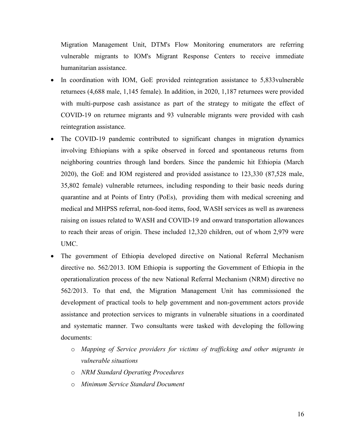Migration Management Unit, DTM's Flow Monitoring enumerators are referring vulnerable migrants to IOM's Migrant Response Centers to receive immediate humanitarian assistance.

- In coordination with IOM, GoE provided reintegration assistance to 5,833vulnerable returnees (4,688 male, 1,145 female). In addition, in 2020, 1,187 returnees were provided with multi-purpose cash assistance as part of the strategy to mitigate the effect of COVID-19 on returnee migrants and 93 vulnerable migrants were provided with cash reintegration assistance.
- The COVID-19 pandemic contributed to significant changes in migration dynamics involving Ethiopians with a spike observed in forced and spontaneous returns from neighboring countries through land borders. Since the pandemic hit Ethiopia (March 2020), the GoE and IOM registered and provided assistance to 123,330 (87,528 male, 35,802 female) vulnerable returnees, including responding to their basic needs during quarantine and at Points of Entry (PoEs), providing them with medical screening and medical and MHPSS referral, non-food items, food, WASH services as well as awareness raising on issues related to WASH and COVID-19 and onward transportation allowances to reach their areas of origin. These included 12,320 children, out of whom 2,979 were UMC.
- The government of Ethiopia developed directive on National Referral Mechanism directive no. 562/2013. IOM Ethiopia is supporting the Government of Ethiopia in the operationalization process of the new National Referral Mechanism (NRM) directive no 562/2013. To that end, the Migration Management Unit has commissioned the development of practical tools to help government and non-government actors provide assistance and protection services to migrants in vulnerable situations in a coordinated and systematic manner. Two consultants were tasked with developing the following documents:
	- o Mapping of Service providers for victims of trafficking and other migrants in vulnerable situations
	- o NRM Standard Operating Procedures
	- o Minimum Service Standard Document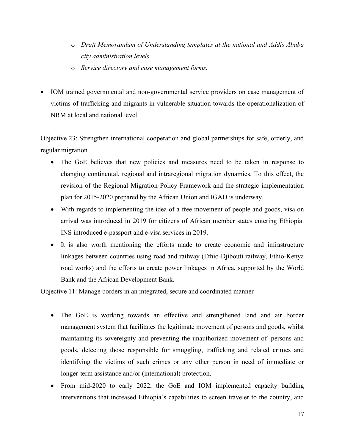- o Draft Memorandum of Understanding templates at the national and Addis Ababa city administration levels
- o Service directory and case management forms.
- IOM trained governmental and non-governmental service providers on case management of victims of trafficking and migrants in vulnerable situation towards the operationalization of NRM at local and national level

Objective 23: Strengthen international cooperation and global partnerships for safe, orderly, and regular migration

- The GoE believes that new policies and measures need to be taken in response to changing continental, regional and intraregional migration dynamics. To this effect, the revision of the Regional Migration Policy Framework and the strategic implementation plan for 2015-2020 prepared by the African Union and IGAD is underway.
- With regards to implementing the idea of a free movement of people and goods, visa on arrival was introduced in 2019 for citizens of African member states entering Ethiopia. INS introduced e-passport and e-visa services in 2019.
- It is also worth mentioning the efforts made to create economic and infrastructure linkages between countries using road and railway (Ethio-Djibouti railway, Ethio-Kenya road works) and the efforts to create power linkages in Africa, supported by the World Bank and the African Development Bank.

Objective 11: Manage borders in an integrated, secure and coordinated manner

- The GoE is working towards an effective and strengthened land and air border management system that facilitates the legitimate movement of persons and goods, whilst maintaining its sovereignty and preventing the unauthorized movement of persons and goods, detecting those responsible for smuggling, trafficking and related crimes and identifying the victims of such crimes or any other person in need of immediate or longer-term assistance and/or (international) protection.
- From mid-2020 to early 2022, the GoE and IOM implemented capacity building interventions that increased Ethiopia's capabilities to screen traveler to the country, and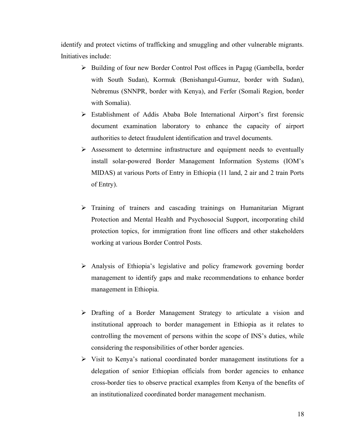identify and protect victims of trafficking and smuggling and other vulnerable migrants. Initiatives include:

- > Building of four new Border Control Post offices in Pagag (Gambella, border with South Sudan), Kormuk (Benishangul-Gumuz, border with Sudan), Nebremus (SNNPR, border with Kenya), and Ferfer (Somali Region, border with Somalia).
- Establishment of Addis Ababa Bole International Airport's first forensic document examination laboratory to enhance the capacity of airport authorities to detect fraudulent identification and travel documents.
- $\triangleright$  Assessment to determine infrastructure and equipment needs to eventually install solar-powered Border Management Information Systems (IOM's MIDAS) at various Ports of Entry in Ethiopia (11 land, 2 air and 2 train Ports of Entry).
- $\triangleright$  Training of trainers and cascading trainings on Humanitarian Migrant Protection and Mental Health and Psychosocial Support, incorporating child protection topics, for immigration front line officers and other stakeholders working at various Border Control Posts.
- Analysis of Ethiopia's legislative and policy framework governing border management to identify gaps and make recommendations to enhance border management in Ethiopia.
- Drafting of a Border Management Strategy to articulate a vision and institutional approach to border management in Ethiopia as it relates to controlling the movement of persons within the scope of INS's duties, while considering the responsibilities of other border agencies.
- $\triangleright$  Visit to Kenya's national coordinated border management institutions for a delegation of senior Ethiopian officials from border agencies to enhance cross-border ties to observe practical examples from Kenya of the benefits of an institutionalized coordinated border management mechanism.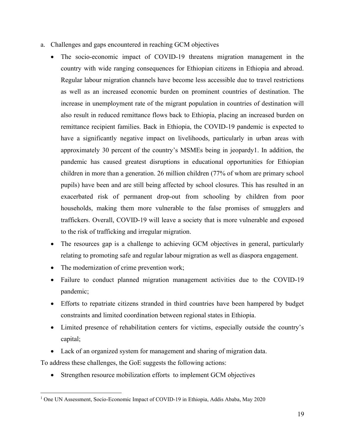- a. Challenges and gaps encountered in reaching GCM objectives
	- The socio-economic impact of COVID-19 threatens migration management in the country with wide ranging consequences for Ethiopian citizens in Ethiopia and abroad. Regular labour migration channels have become less accessible due to travel restrictions as well as an increased economic burden on prominent countries of destination. The increase in unemployment rate of the migrant population in countries of destination will also result in reduced remittance flows back to Ethiopia, placing an increased burden on remittance recipient families. Back in Ethiopia, the COVID-19 pandemic is expected to have a significantly negative impact on livelihoods, particularly in urban areas with approximately 30 percent of the country's MSMEs being in jeopardy1. In addition, the pandemic has caused greatest disruptions in educational opportunities for Ethiopian children in more than a generation. 26 million children (77% of whom are primary school pupils) have been and are still being affected by school closures. This has resulted in an exacerbated risk of permanent drop-out from schooling by children from poor households, making them more vulnerable to the false promises of smugglers and traffickers. Overall, COVID-19 will leave a society that is more vulnerable and exposed to the risk of trafficking and irregular migration.
	- The resources gap is a challenge to achieving GCM objectives in general, particularly relating to promoting safe and regular labour migration as well as diaspora engagement.
	- The modernization of crime prevention work;
	- Failure to conduct planned migration management activities due to the COVID-19 pandemic;
	- Efforts to repatriate citizens stranded in third countries have been hampered by budget constraints and limited coordination between regional states in Ethiopia.
	- Limited presence of rehabilitation centers for victims, especially outside the country's capital;
	- Lack of an organized system for management and sharing of migration data.

To address these challenges, the GoE suggests the following actions:

• Strengthen resource mobilization efforts to implement GCM objectives

<sup>&</sup>lt;sup>1</sup> One UN Assessment, Socio-Economic Impact of COVID-19 in Ethiopia, Addis Ababa, May 2020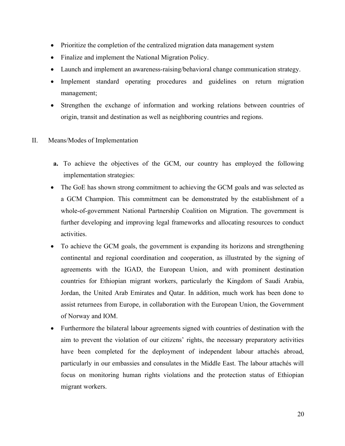- Prioritize the completion of the centralized migration data management system
- Finalize and implement the National Migration Policy.
- Launch and implement an awareness-raising/behavioral change communication strategy.
- Implement standard operating procedures and guidelines on return migration management;
- Strengthen the exchange of information and working relations between countries of origin, transit and destination as well as neighboring countries and regions.
- II. Means/Modes of Implementation
	- a. To achieve the objectives of the GCM, our country has employed the following implementation strategies:
	- The GoE has shown strong commitment to achieving the GCM goals and was selected as a GCM Champion. This commitment can be demonstrated by the establishment of a whole-of-government National Partnership Coalition on Migration. The government is further developing and improving legal frameworks and allocating resources to conduct activities.
	- To achieve the GCM goals, the government is expanding its horizons and strengthening continental and regional coordination and cooperation, as illustrated by the signing of agreements with the IGAD, the European Union, and with prominent destination countries for Ethiopian migrant workers, particularly the Kingdom of Saudi Arabia, Jordan, the United Arab Emirates and Qatar. In addition, much work has been done to assist returnees from Europe, in collaboration with the European Union, the Government of Norway and IOM.
	- Furthermore the bilateral labour agreements signed with countries of destination with the aim to prevent the violation of our citizens' rights, the necessary preparatory activities have been completed for the deployment of independent labour attachés abroad, particularly in our embassies and consulates in the Middle East. The labour attachés will focus on monitoring human rights violations and the protection status of Ethiopian migrant workers.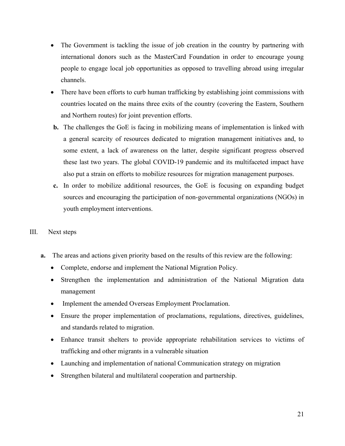- The Government is tackling the issue of job creation in the country by partnering with international donors such as the MasterCard Foundation in order to encourage young people to engage local job opportunities as opposed to travelling abroad using irregular channels.
- There have been efforts to curb human trafficking by establishing joint commissions with countries located on the mains three exits of the country (covering the Eastern, Southern and Northern routes) for joint prevention efforts.
- b. The challenges the GoE is facing in mobilizing means of implementation is linked with a general scarcity of resources dedicated to migration management initiatives and, to some extent, a lack of awareness on the latter, despite significant progress observed these last two years. The global COVID-19 pandemic and its multifaceted impact have also put a strain on efforts to mobilize resources for migration management purposes.
- c. In order to mobilize additional resources, the GoE is focusing on expanding budget sources and encouraging the participation of non-governmental organizations (NGOs) in youth employment interventions.
- III. Next steps
	- a. The areas and actions given priority based on the results of this review are the following:
		- Complete, endorse and implement the National Migration Policy.
		- Strengthen the implementation and administration of the National Migration data management
		- Implement the amended Overseas Employment Proclamation.
		- Ensure the proper implementation of proclamations, regulations, directives, guidelines, and standards related to migration.
		- Enhance transit shelters to provide appropriate rehabilitation services to victims of trafficking and other migrants in a vulnerable situation
		- Launching and implementation of national Communication strategy on migration
		- Strengthen bilateral and multilateral cooperation and partnership.